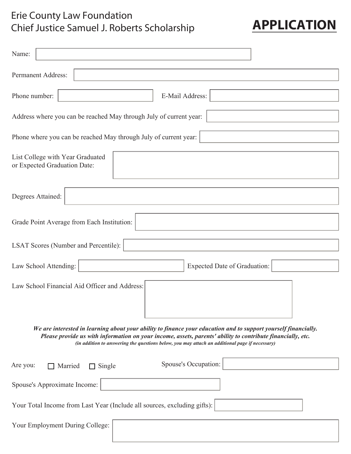## Erie County Law Foundation Chief Justice Samuel J. Roberts Scholarship

| <b>APPLICATION</b> |  |
|--------------------|--|
|--------------------|--|

| Name:                                                                                                                                                                                                                                                                                                                            |  |  |  |  |  |  |
|----------------------------------------------------------------------------------------------------------------------------------------------------------------------------------------------------------------------------------------------------------------------------------------------------------------------------------|--|--|--|--|--|--|
| Permanent Address:                                                                                                                                                                                                                                                                                                               |  |  |  |  |  |  |
| E-Mail Address:<br>Phone number:                                                                                                                                                                                                                                                                                                 |  |  |  |  |  |  |
| Address where you can be reached May through July of current year:                                                                                                                                                                                                                                                               |  |  |  |  |  |  |
| Phone where you can be reached May through July of current year:                                                                                                                                                                                                                                                                 |  |  |  |  |  |  |
| List College with Year Graduated<br>or Expected Graduation Date:                                                                                                                                                                                                                                                                 |  |  |  |  |  |  |
| Degrees Attained:                                                                                                                                                                                                                                                                                                                |  |  |  |  |  |  |
| Grade Point Average from Each Institution:                                                                                                                                                                                                                                                                                       |  |  |  |  |  |  |
| <b>LSAT Scores (Number and Percentile):</b>                                                                                                                                                                                                                                                                                      |  |  |  |  |  |  |
| Law School Attending:<br><b>Expected Date of Graduation:</b>                                                                                                                                                                                                                                                                     |  |  |  |  |  |  |
| Law School Financial Aid Officer and Address:                                                                                                                                                                                                                                                                                    |  |  |  |  |  |  |
| We are interested in learning about your ability to finance your education and to support yourself financially.<br>Please provide us with information on your income, assets, parents' ability to contribute financially, etc.<br>(in addition to answering the questions below, you may attach an additional page if necessary) |  |  |  |  |  |  |
| Spouse's Occupation:<br>Are you:<br>$\Box$ Single<br>Married                                                                                                                                                                                                                                                                     |  |  |  |  |  |  |
| Spouse's Approximate Income:                                                                                                                                                                                                                                                                                                     |  |  |  |  |  |  |
| Your Total Income from Last Year (Include all sources, excluding gifts):                                                                                                                                                                                                                                                         |  |  |  |  |  |  |
| Your Employment During College:                                                                                                                                                                                                                                                                                                  |  |  |  |  |  |  |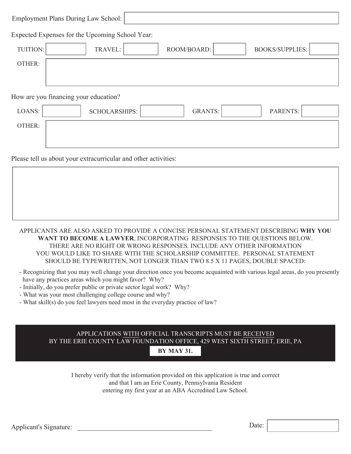| Employment Plans During Law School:                          |
|--------------------------------------------------------------|
| Expected Expenses for the Upcoming School Year:              |
| <b>BOOKS/SUPPLIES:</b><br>TUITION:<br>ROOM/BOARD:<br>TRAVEL: |
| OTHER:                                                       |
|                                                              |
| How are you financing your education?                        |

| LOANS: | SCHOLARSHIPS: | GRANTS: | PARENTS: |  |
|--------|---------------|---------|----------|--|
| OTHER: |               |         |          |  |
|        |               |         |          |  |

Please tell us about your extracurricular and other activities:

## APPLICANTS ARE ALSO ASKED TO PROVIDE A CONCISE PERSONAL STATEMENT DESCRIBING **WHY YOU WANT TO BECOME A LAWYER**, INCORPORATING RESPONSES TO THE QUESTIONS BELOW. THERE ARE NO RIGHT OR WRONG RESPONSES. INCLUDE ANY OTHER INFORMATION YOU WOULD LIKE TO SHARE WITH THE SCHOLARSHIP COMMITTEE. PERSONAL STATEMENT SHOULD BE TYPEWRITTEN, NOT LONGER THAN TWO 8.5 X 11 PAGES, DOUBLE SPACED:

- Recognizing that you may well change your direction once you become acquainted with various legal areas, do you presently have any practices areas which you might favor? Why?
- Initially, do you prefer public or private sector legal work? Why?
- What was your most challenging college course and why?
- What skill(s) do you feel lawyers need most in the everyday practice of law?

## APPLICATIONS WITH OFFICIAL TRANSCRIPTS MUST BE RECEIVED BY THE ERIE COUNTY LAW FOUNDATION OFFICE, 429 WEST SIXTH STREET, ERIE, PA

**BY MAY 31.** 

I hereby verify that the information provided on this application is true and correct and that I am an Erie County, Pennsylvania Resident entering my first year at an ABA Accredited Law School.

Applicant's Signature: Date: